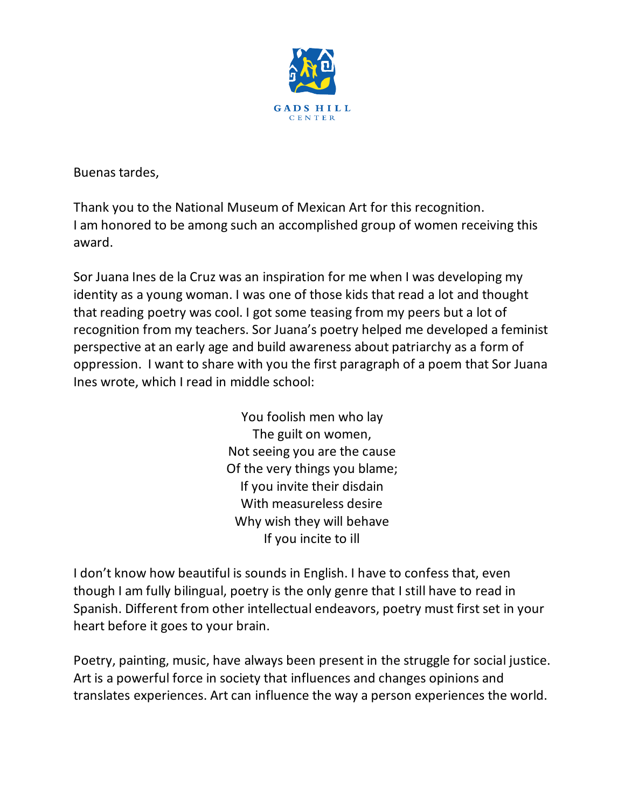

Buenas tardes,

Thank you to the National Museum of Mexican Art for this recognition. I am honored to be among such an accomplished group of women receiving this award.

Sor Juana Ines de la Cruz was an inspiration for me when I was developing my identity as a young woman. I was one of those kids that read a lot and thought that reading poetry was cool. I got some teasing from my peers but a lot of recognition from my teachers. Sor Juana's poetry helped me developed a feminist perspective at an early age and build awareness about patriarchy as a form of oppression. I want to share with you the first paragraph of a poem that Sor Juana Ines wrote, which I read in middle school:

> You foolish men who lay The guilt on women, Not seeing you are the cause Of the very things you blame; If you invite their disdain With measureless desire Why wish they will behave If you incite to ill

I don't know how beautiful is sounds in English. I have to confess that, even though I am fully bilingual, poetry is the only genre that I still have to read in Spanish. Different from other intellectual endeavors, poetry must first set in your heart before it goes to your brain.

Poetry, painting, music, have always been present in the struggle for social justice. Art is a powerful force in society that influences and changes opinions and translates experiences. Art can influence the way a person experiences the world.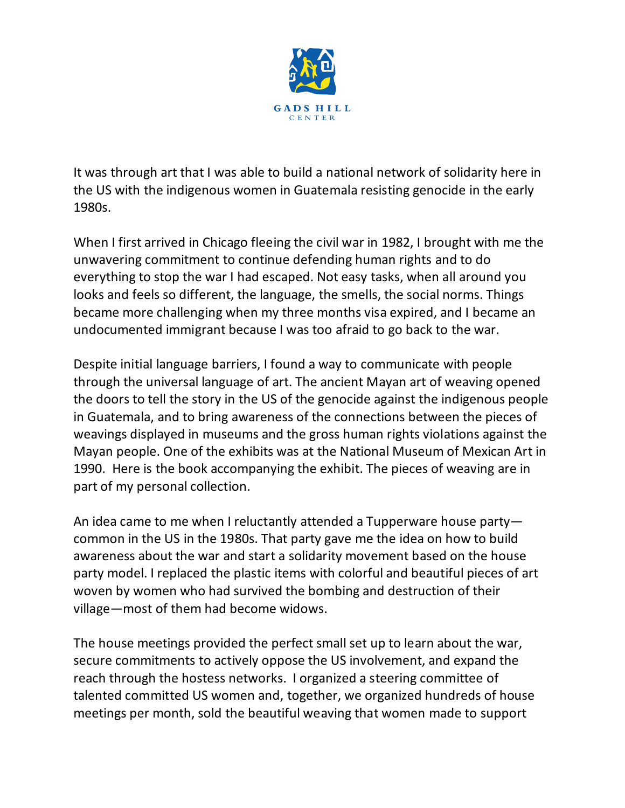

It was through art that I was able to build a national network of solidarity here in the US with the indigenous women in Guatemala resisting genocide in the early 1980s.

When I first arrived in Chicago fleeing the civil war in 1982, I brought with me the unwavering commitment to continue defending human rights and to do everything to stop the war I had escaped. Not easy tasks, when all around you looks and feels so different, the language, the smells, the social norms. Things became more challenging when my three months visa expired, and I became an undocumented immigrant because I was too afraid to go back to the war.

Despite initial language barriers, I found a way to communicate with people through the universal language of art. The ancient Mayan art of weaving opened the doors to tell the story in the US of the genocide against the indigenous people in Guatemala, and to bring awareness of the connections between the pieces of weavings displayed in museums and the gross human rights violations against the Mayan people. One of the exhibits was at the National Museum of Mexican Art in 1990. Here is the book accompanying the exhibit. The pieces of weaving are in part of my personal collection.

An idea came to me when I reluctantly attended a Tupperware house party common in the US in the 1980s. That party gave me the idea on how to build awareness about the war and start a solidarity movement based on the house party model. I replaced the plastic items with colorful and beautiful pieces of art woven by women who had survived the bombing and destruction of their village—most of them had become widows.

The house meetings provided the perfect small set up to learn about the war, secure commitments to actively oppose the US involvement, and expand the reach through the hostess networks. I organized a steering committee of talented committed US women and, together, we organized hundreds of house meetings per month, sold the beautiful weaving that women made to support